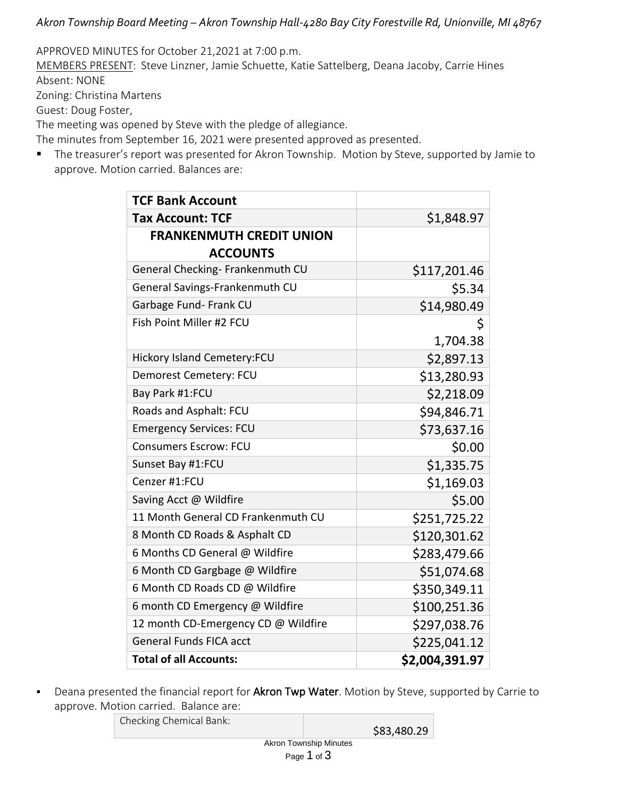*Akron Township Board Meeting – Akron Township Hall-4280 Bay City Forestville Rd, Unionville, MI 48767*

APPROVED MINUTES for October 21,2021 at 7:00 p.m.

MEMBERS PRESENT: Steve Linzner, Jamie Schuette, Katie Sattelberg, Deana Jacoby, Carrie Hines Absent: NONE

Zoning: Christina Martens

Guest: Doug Foster,

The meeting was opened by Steve with the pledge of allegiance.

The minutes from September 16, 2021 were presented approved as presented.

■ The treasurer's report was presented for Akron Township. Motion by Steve, supported by Jamie to approve. Motion carried. Balances are:

| <b>TCF Bank Account</b>             |                |  |  |  |
|-------------------------------------|----------------|--|--|--|
| <b>Tax Account: TCF</b>             | \$1,848.97     |  |  |  |
| <b>FRANKENMUTH CREDIT UNION</b>     |                |  |  |  |
| <b>ACCOUNTS</b>                     |                |  |  |  |
| General Checking- Frankenmuth CU    | \$117,201.46   |  |  |  |
| General Savings-Frankenmuth CU      | \$5.34         |  |  |  |
| Garbage Fund- Frank CU              | \$14,980.49    |  |  |  |
| Fish Point Miller #2 FCU            | \$             |  |  |  |
|                                     | 1,704.38       |  |  |  |
| Hickory Island Cemetery:FCU         | \$2,897.13     |  |  |  |
| Demorest Cemetery: FCU              | \$13,280.93    |  |  |  |
| Bay Park #1:FCU                     | \$2,218.09     |  |  |  |
| Roads and Asphalt: FCU              | \$94,846.71    |  |  |  |
| <b>Emergency Services: FCU</b>      | \$73,637.16    |  |  |  |
| <b>Consumers Escrow: FCU</b>        | \$0.00         |  |  |  |
| Sunset Bay #1:FCU                   | \$1,335.75     |  |  |  |
| Cenzer #1:FCU                       | \$1,169.03     |  |  |  |
| Saving Acct @ Wildfire              | \$5.00         |  |  |  |
| 11 Month General CD Frankenmuth CU  | \$251,725.22   |  |  |  |
| 8 Month CD Roads & Asphalt CD       | \$120,301.62   |  |  |  |
| 6 Months CD General @ Wildfire      | \$283,479.66   |  |  |  |
| 6 Month CD Gargbage @ Wildfire      | \$51,074.68    |  |  |  |
| 6 Month CD Roads CD @ Wildfire      | \$350,349.11   |  |  |  |
| 6 month CD Emergency @ Wildfire     | \$100,251.36   |  |  |  |
| 12 month CD-Emergency CD @ Wildfire | \$297,038.76   |  |  |  |
| <b>General Funds FICA acct</b>      | \$225,041.12   |  |  |  |
| <b>Total of all Accounts:</b>       | \$2,004,391.97 |  |  |  |

**EXP** Deana presented the financial report for Akron Twp Water. Motion by Steve, supported by Carrie to approve. Motion carried. Balance are:

Checking Chemical Bank:

\$83,480.29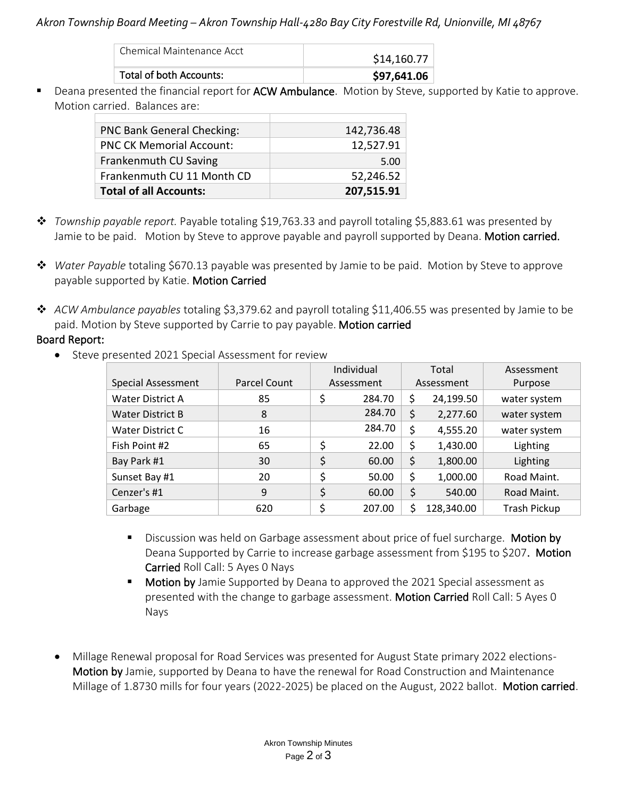## *Akron Township Board Meeting – Akron Township Hall-4280 Bay City Forestville Rd, Unionville, MI 48767*

| Chemical Maintenance Acct | \$14,160.77 |
|---------------------------|-------------|
| Total of both Accounts:   | \$97,641.06 |

■ Deana presented the financial report for ACW Ambulance. Motion by Steve, supported by Katie to approve. Motion carried. Balances are:

| <b>PNC Bank General Checking:</b> | 142,736.48 |
|-----------------------------------|------------|
| <b>PNC CK Memorial Account:</b>   | 12,527.91  |
| Frankenmuth CU Saving             | 5.00       |
| Frankenmuth CU 11 Month CD        | 52,246.52  |
| <b>Total of all Accounts:</b>     | 207,515.91 |

- ❖ *Township payable report.* Payable totaling \$19,763.33 and payroll totaling \$5,883.61 was presented by Jamie to be paid. Motion by Steve to approve payable and payroll supported by Deana. Motion carried.
- ❖ *Water Payable* totaling \$670.13 payable was presented by Jamie to be paid. Motion by Steve to approve payable supported by Katie. Motion Carried
- ❖ *ACW Ambulance payables* totaling \$3,379.62 and payroll totaling \$11,406.55 was presented by Jamie to be paid. Motion by Steve supported by Carrie to pay payable. Motion carried

## Board Report:

• Steve presented 2021 Special Assessment for review

|                           |              | Individual |        | Total      |            | Assessment   |
|---------------------------|--------------|------------|--------|------------|------------|--------------|
| <b>Special Assessment</b> | Parcel Count | Assessment |        | Assessment |            | Purpose      |
| <b>Water District A</b>   | 85           | \$         | 284.70 | \$         | 24,199.50  | water system |
| <b>Water District B</b>   | 8            |            | 284.70 | \$         | 2,277.60   | water system |
| Water District C          | 16           |            | 284.70 | \$         | 4,555.20   | water system |
| Fish Point #2             | 65           | \$         | 22.00  | \$         | 1,430.00   | Lighting     |
| Bay Park #1               | 30           | \$         | 60.00  | \$         | 1,800.00   | Lighting     |
| Sunset Bay #1             | 20           | \$         | 50.00  | \$         | 1,000.00   | Road Maint.  |
| Cenzer's #1               | 9            | \$         | 60.00  | \$         | 540.00     | Road Maint.  |
| Garbage                   | 620          | \$         | 207.00 | \$         | 128,340.00 | Trash Pickup |

- **E** Discussion was held on Garbage assessment about price of fuel surcharge. Motion by Deana Supported by Carrie to increase garbage assessment from \$195 to \$207. Motion Carried Roll Call: 5 Ayes 0 Nays
- Motion by Jamie Supported by Deana to approved the 2021 Special assessment as presented with the change to garbage assessment. Motion Carried Roll Call: 5 Ayes 0 Nays
- Millage Renewal proposal for Road Services was presented for August State primary 2022 elections-Motion by Jamie, supported by Deana to have the renewal for Road Construction and Maintenance Millage of 1.8730 mills for four years (2022-2025) be placed on the August, 2022 ballot. Motion carried.